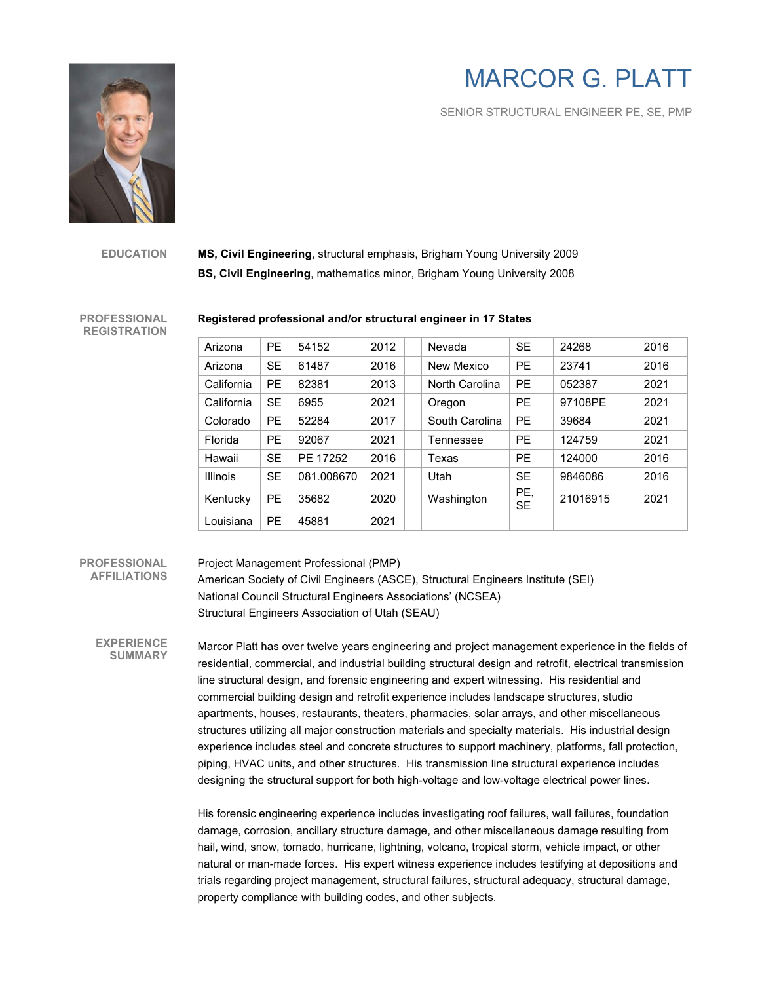# MARCOR G. PLATT

SENIOR STRUCTURAL ENGINEER PE, SE, PMP



**EDUCATION MS, Civil Engineering**, structural emphasis, Brigham Young University 2009 **BS, Civil Engineering**, mathematics minor, Brigham Young University 2008

**PROFESSIONAL REGISTRATION** 

#### **Registered professional and/or structural engineer in 17 States**

| Arizona         | <b>PE</b> | 54152      | 2012 | Nevada         | <b>SE</b>        | 24268    | 2016 |
|-----------------|-----------|------------|------|----------------|------------------|----------|------|
| Arizona         | <b>SE</b> | 61487      | 2016 | New Mexico     | <b>PE</b>        | 23741    | 2016 |
| California      | <b>PE</b> | 82381      | 2013 | North Carolina | <b>PE</b>        | 052387   | 2021 |
| California      | <b>SE</b> | 6955       | 2021 | Oregon         | <b>PE</b>        | 97108PE  | 2021 |
| Colorado        | <b>PE</b> | 52284      | 2017 | South Carolina | <b>PE</b>        | 39684    | 2021 |
| Florida         | <b>PE</b> | 92067      | 2021 | Tennessee      | <b>PE</b>        | 124759   | 2021 |
| Hawaii          | <b>SE</b> | PE 17252   | 2016 | Texas          | <b>PE</b>        | 124000   | 2016 |
| <b>Illinois</b> | <b>SE</b> | 081.008670 | 2021 | Utah           | <b>SE</b>        | 9846086  | 2016 |
| Kentucky        | <b>PE</b> | 35682      | 2020 | Washington     | PE,<br><b>SE</b> | 21016915 | 2021 |
| Louisiana       | <b>PE</b> | 45881      | 2021 |                |                  |          |      |

### **PROFESSIONAL AFFILIATIONS**

## Project Management Professional (PMP)

American Society of Civil Engineers (ASCE), Structural Engineers Institute (SEI) National Council Structural Engineers Associations' (NCSEA) Structural Engineers Association of Utah (SEAU)

 **EXPERIENCE SUMMARY**

Marcor Platt has over twelve years engineering and project management experience in the fields of residential, commercial, and industrial building structural design and retrofit, electrical transmission line structural design, and forensic engineering and expert witnessing. His residential and commercial building design and retrofit experience includes landscape structures, studio apartments, houses, restaurants, theaters, pharmacies, solar arrays, and other miscellaneous structures utilizing all major construction materials and specialty materials. His industrial design experience includes steel and concrete structures to support machinery, platforms, fall protection, piping, HVAC units, and other structures. His transmission line structural experience includes designing the structural support for both high-voltage and low-voltage electrical power lines.

His forensic engineering experience includes investigating roof failures, wall failures, foundation damage, corrosion, ancillary structure damage, and other miscellaneous damage resulting from hail, wind, snow, tornado, hurricane, lightning, volcano, tropical storm, vehicle impact, or other natural or man-made forces. His expert witness experience includes testifying at depositions and trials regarding project management, structural failures, structural adequacy, structural damage, property compliance with building codes, and other subjects.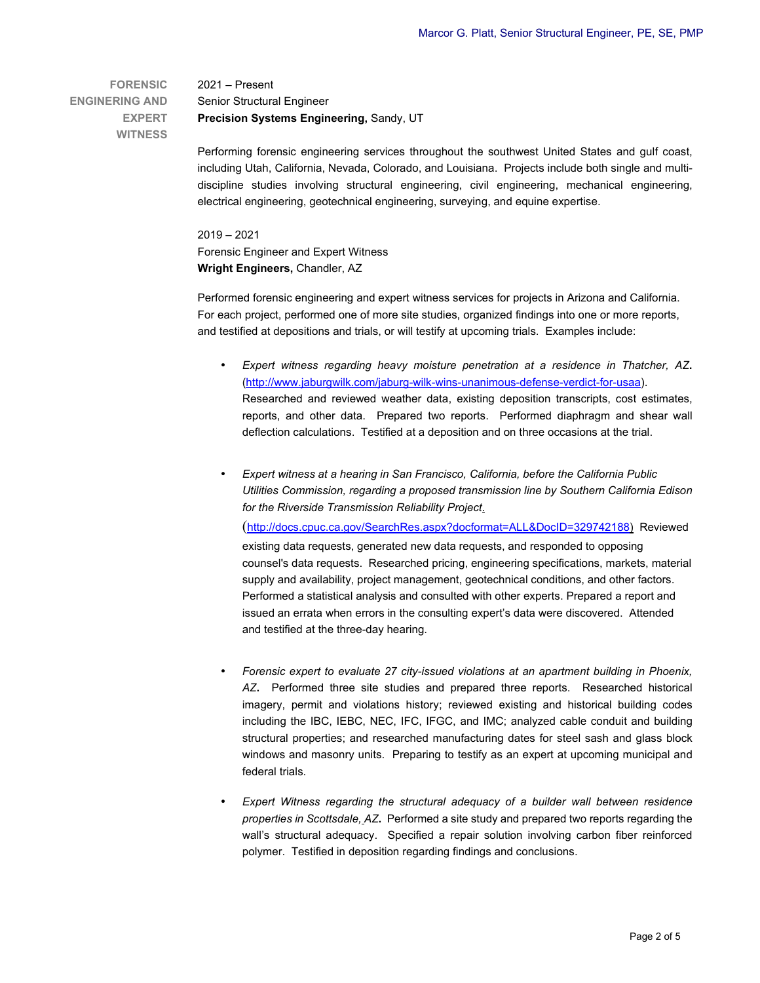**FORENSIC ENGINERING AND EXPERT WITNESS**

 2021 – Present Senior Structural Engineer **Precision Systems Engineering,** Sandy, UT

Performing forensic engineering services throughout the southwest United States and gulf coast, including Utah, California, Nevada, Colorado, and Louisiana. Projects include both single and multidiscipline studies involving structural engineering, civil engineering, mechanical engineering, electrical engineering, geotechnical engineering, surveying, and equine expertise.

2019 – 2021 Forensic Engineer and Expert Witness **Wright Engineers,** Chandler, AZ

Performed forensic engineering and expert witness services for projects in Arizona and California. For each project, performed one of more site studies, organized findings into one or more reports, and testified at depositions and trials, or will testify at upcoming trials. Examples include:

- *Expert witness regarding heavy moisture penetration at a residence in Thatcher, AZ***.** (http://www.jaburgwilk.com/jaburg-wilk-wins-unanimous-defense-verdict-for-usaa). Researched and reviewed weather data, existing deposition transcripts, cost estimates, reports, and other data. Prepared two reports. Performed diaphragm and shear wall deflection calculations. Testified at a deposition and on three occasions at the trial.
- *Expert witness at a hearing in San Francisco, California, before the California Public Utilities Commission, regarding a proposed transmission line by Southern California Edison for the Riverside Transmission Reliability Project*.

(http://docs.cpuc.ca.gov/SearchRes.aspx?docformat=ALL&DocID=329742188) Reviewed existing data requests, generated new data requests, and responded to opposing counsel's data requests. Researched pricing, engineering specifications, markets, material supply and availability, project management, geotechnical conditions, and other factors. Performed a statistical analysis and consulted with other experts. Prepared a report and issued an errata when errors in the consulting expert's data were discovered. Attended and testified at the three-day hearing.

- *Forensic expert to evaluate 27 city-issued violations at an apartment building in Phoenix, AZ***.** Performed three site studies and prepared three reports. Researched historical imagery, permit and violations history; reviewed existing and historical building codes including the IBC, IEBC, NEC, IFC, IFGC, and IMC; analyzed cable conduit and building structural properties; and researched manufacturing dates for steel sash and glass block windows and masonry units. Preparing to testify as an expert at upcoming municipal and federal trials.
- *Expert Witness regarding the structural adequacy of a builder wall between residence properties in Scottsdale, AZ***.** Performed a site study and prepared two reports regarding the wall's structural adequacy. Specified a repair solution involving carbon fiber reinforced polymer. Testified in deposition regarding findings and conclusions.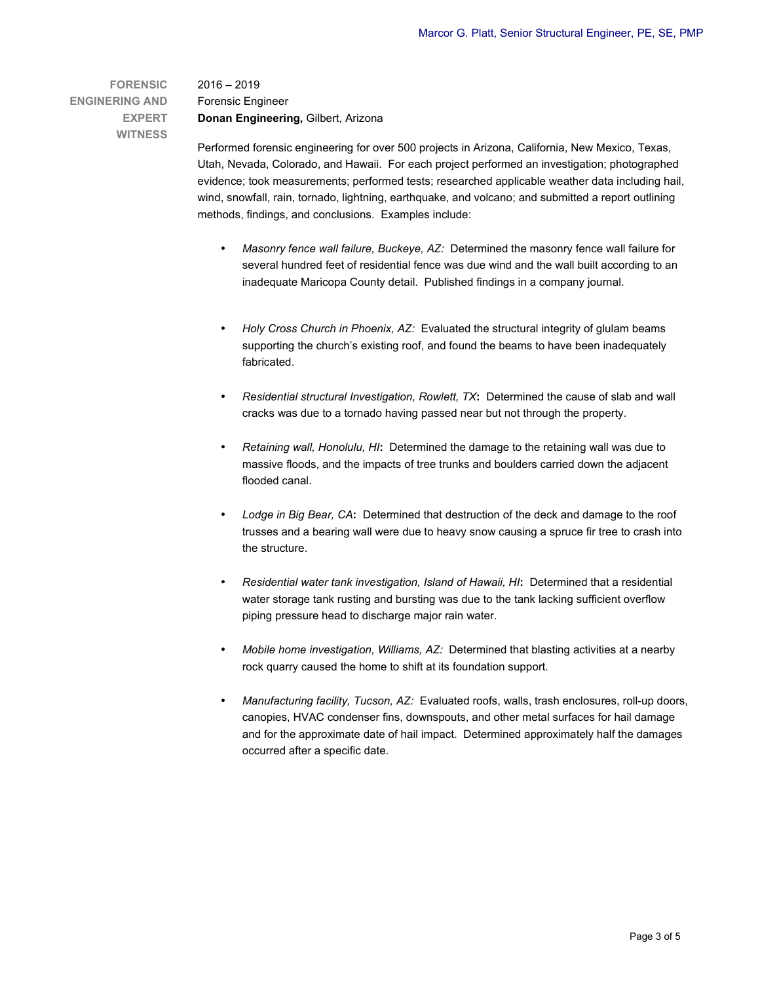**FORENSIC ENGINERING AND EXPERT WITNESS**

2016 – 2019 Forensic Engineer **Donan Engineering,** Gilbert, Arizona

Performed forensic engineering for over 500 projects in Arizona, California, New Mexico, Texas, Utah, Nevada, Colorado, and Hawaii. For each project performed an investigation; photographed evidence; took measurements; performed tests; researched applicable weather data including hail, wind, snowfall, rain, tornado, lightning, earthquake, and volcano; and submitted a report outlining methods, findings, and conclusions. Examples include:

- *Masonry fence wall failure, Buckeye, AZ:* Determined the masonry fence wall failure for several hundred feet of residential fence was due wind and the wall built according to an inadequate Maricopa County detail. Published findings in a company journal.
- *Holy Cross Church in Phoenix, AZ:* Evaluated the structural integrity of glulam beams supporting the church's existing roof, and found the beams to have been inadequately fabricated.
- *Residential structural Investigation, Rowlett, TX***:** Determined the cause of slab and wall cracks was due to a tornado having passed near but not through the property.
- *Retaining wall, Honolulu, HI***:** Determined the damage to the retaining wall was due to massive floods, and the impacts of tree trunks and boulders carried down the adjacent flooded canal.
- *Lodge in Big Bear, CA***:** Determined that destruction of the deck and damage to the roof trusses and a bearing wall were due to heavy snow causing a spruce fir tree to crash into the structure.
- *Residential water tank investigation, Island of Hawaii, HI***:** Determined that a residential water storage tank rusting and bursting was due to the tank lacking sufficient overflow piping pressure head to discharge major rain water.
- *Mobile home investigation, Williams, AZ:* Determined that blasting activities at a nearby rock quarry caused the home to shift at its foundation support*.*
- *Manufacturing facility, Tucson, AZ:* Evaluated roofs, walls, trash enclosures, roll-up doors, canopies, HVAC condenser fins, downspouts, and other metal surfaces for hail damage and for the approximate date of hail impact. Determined approximately half the damages occurred after a specific date.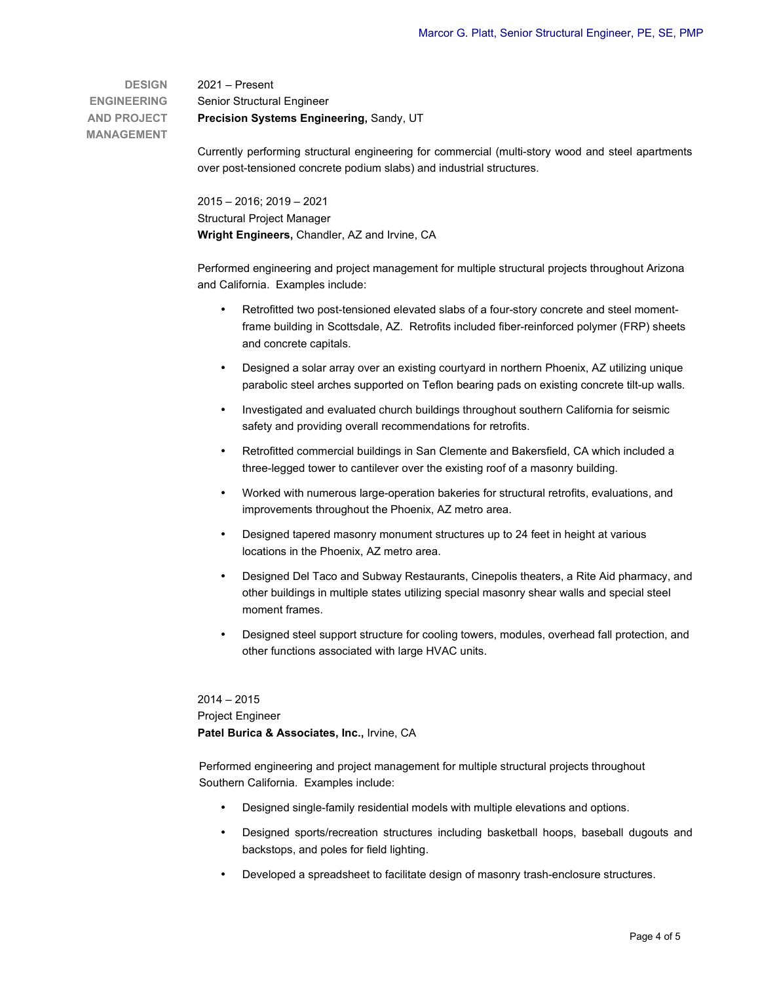**DESIGN ENGINEERING AND PROJECT MANAGEMENT** 2021 – Present Senior Structural Engineer **Precision Systems Engineering,** Sandy, UT

> Currently performing structural engineering for commercial (multi-story wood and steel apartments over post-tensioned concrete podium slabs) and industrial structures.

2015 – 2016; 2019 – 2021 Structural Project Manager **Wright Engineers,** Chandler, AZ and Irvine, CA

Performed engineering and project management for multiple structural projects throughout Arizona and California. Examples include:

- Retrofitted two post-tensioned elevated slabs of a four-story concrete and steel momentframe building in Scottsdale, AZ. Retrofits included fiber-reinforced polymer (FRP) sheets and concrete capitals.
- Designed a solar array over an existing courtyard in northern Phoenix, AZ utilizing unique parabolic steel arches supported on Teflon bearing pads on existing concrete tilt-up walls.
- Investigated and evaluated church buildings throughout southern California for seismic safety and providing overall recommendations for retrofits.
- Retrofitted commercial buildings in San Clemente and Bakersfield, CA which included a three-legged tower to cantilever over the existing roof of a masonry building.
- Worked with numerous large-operation bakeries for structural retrofits, evaluations, and improvements throughout the Phoenix, AZ metro area.
- Designed tapered masonry monument structures up to 24 feet in height at various locations in the Phoenix, AZ metro area.
- Designed Del Taco and Subway Restaurants, Cinepolis theaters, a Rite Aid pharmacy, and other buildings in multiple states utilizing special masonry shear walls and special steel moment frames.
- Designed steel support structure for cooling towers, modules, overhead fall protection, and other functions associated with large HVAC units.

2014 – 2015 Project Engineer **Patel Burica & Associates, Inc.,** Irvine, CA

Performed engineering and project management for multiple structural projects throughout Southern California. Examples include:

- Designed single-family residential models with multiple elevations and options.
- Designed sports/recreation structures including basketball hoops, baseball dugouts and backstops, and poles for field lighting.
- Developed a spreadsheet to facilitate design of masonry trash-enclosure structures.